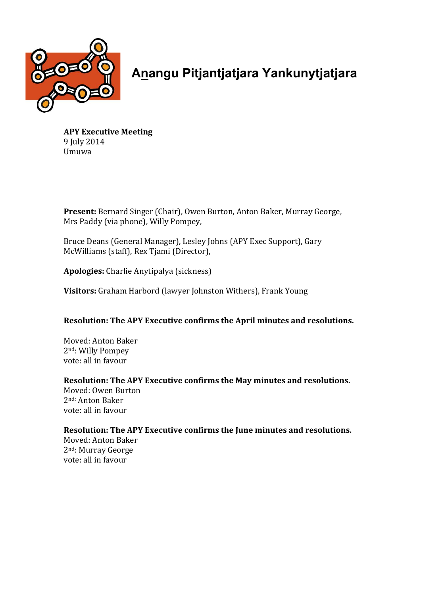

**Anangu Pitjantjatjara Yankunytjatjara**

**APY Executive Meeting** 9 July 2014 Umuwa

**Present:** Bernard Singer (Chair), Owen Burton, Anton Baker, Murray George, Mrs Paddy (via phone), Willy Pompey,

Bruce Deans (General Manager), Lesley Johns (APY Exec Support), Gary McWilliams (staff), Rex Tjami (Director),

**Apologies:** Charlie Anytipalya (sickness)

**Visitors:** Graham Harbord (lawyer Johnston Withers), Frank Young

## **Resolution: The APY Executive confirms the April minutes and resolutions.**

Moved: Anton Baker 2<sup>nd</sup>: Willy Pompey vote: all in favour

## **Resolution: The APY Executive confirms the May minutes and resolutions.**

Moved: Owen Burton 2nd: Anton Baker vote: all in favour

# **Resolution: The APY Executive confirms the June minutes and resolutions.**

Moved: Anton Baker 2<sup>nd</sup>: Murray George vote: all in favour